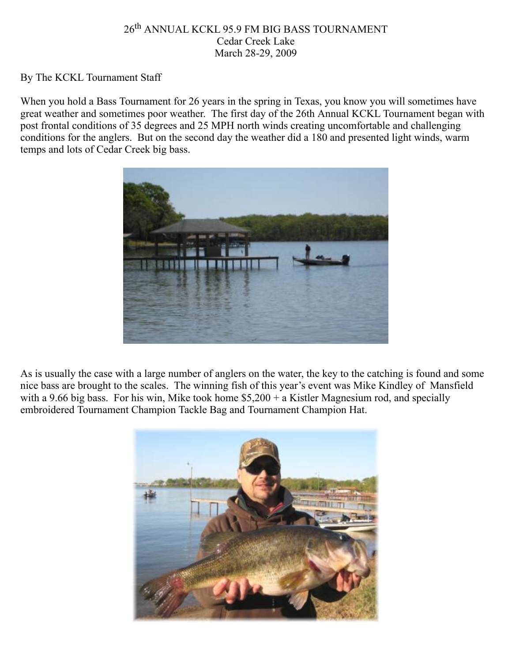# 26th ANNUAL KCKL 95.9 FM BIG BASS TOURNAMENT Cedar Creek Lake March 28-29, 2009

### By The KCKL Tournament Staff

When you hold a Bass Tournament for 26 years in the spring in Texas, you know you will sometimes have great weather and sometimes poor weather. The first day of the 26th Annual KCKL Tournament began with post frontal conditions of 35 degrees and 25 MPH north winds creating uncomfortable and challenging conditions for the anglers. But on the second day the weather did a 180 and presented light winds, warm temps and lots of Cedar Creek big bass.



As is usually the case with a large number of anglers on the water, the key to the catching is found and some nice bass are brought to the scales. The winning fish of this year's event was Mike Kindley of Mansfield with a 9.66 big bass. For his win, Mike took home  $$5,200 + a$  Kistler Magnesium rod, and specially embroidered Tournament Champion Tackle Bag and Tournament Champion Hat.

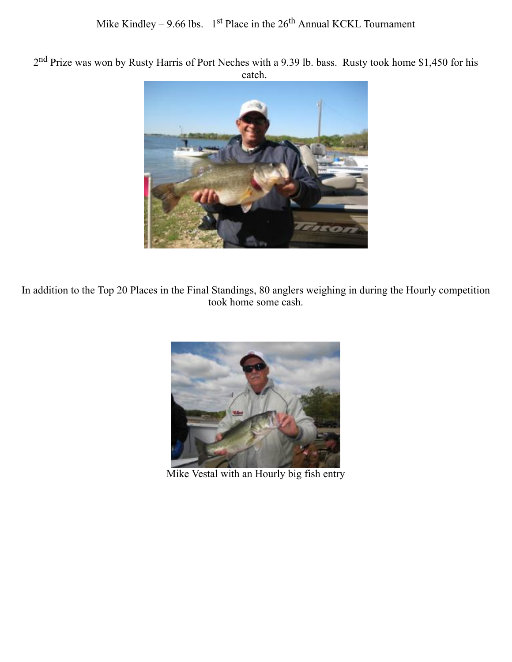2<sup>nd</sup> Prize was won by Rusty Harris of Port Neches with a 9.39 lb. bass. Rusty took home \$1,450 for his catch.



In addition to the Top 20 Places in the Final Standings, 80 anglers weighing in during the Hourly competition took home some cash.



Mike Vestal with an Hourly big fish entry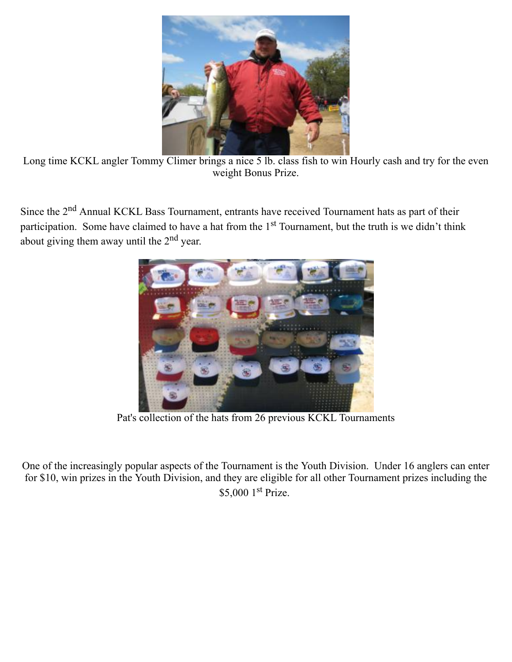

Long time KCKL angler Tommy Climer brings a nice 5 lb. class fish to win Hourly cash and try for the even weight Bonus Prize.

Since the 2<sup>nd</sup> Annual KCKL Bass Tournament, entrants have received Tournament hats as part of their participation. Some have claimed to have a hat from the 1<sup>st</sup> Tournament, but the truth is we didn't think about giving them away until the 2nd year.



Pat's collection of the hats from 26 previous KCKL Tournaments

One of the increasingly popular aspects of the Tournament is the Youth Division. Under 16 anglers can enter for \$10, win prizes in the Youth Division, and they are eligible for all other Tournament prizes including the \$5,000 1<sup>st</sup> Prize.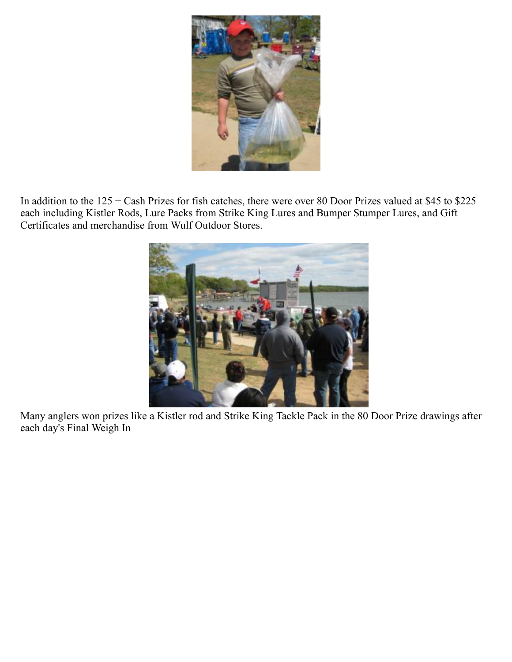

In addition to the 125 + Cash Prizes for fish catches, there were over 80 Door Prizes valued at \$45 to \$225 each including Kistler Rods, Lure Packs from Strike King Lures and Bumper Stumper Lures, and Gift Certificates and merchandise from Wulf Outdoor Stores.



Many anglers won prizes like a Kistler rod and Strike King Tackle Pack in the 80 Door Prize drawings after each day's Final Weigh In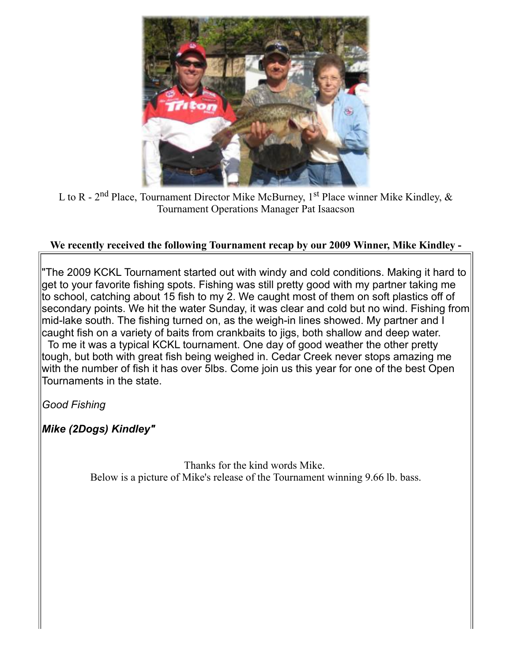

L to R - 2<sup>nd</sup> Place, Tournament Director Mike McBurney, 1<sup>st</sup> Place winner Mike Kindley,  $\&$ Tournament Operations Manager Pat Isaacson

# **We recently received the following Tournament recap by our 2009 Winner, Mike Kindley -**

"The 2009 KCKL Tournament started out with windy and cold conditions. Making it hard to get to your favorite fishing spots. Fishing was still pretty good with my partner taking me to school, catching about 15 fish to my 2. We caught most of them on soft plastics off of secondary points. We hit the water Sunday, it was clear and cold but no wind. Fishing from mid-lake south. The fishing turned on, as the weigh-in lines showed. My partner and I caught fish on a variety of baits from crankbaits to jigs, both shallow and deep water. To me it was a typical KCKL tournament. One day of good weather the other pretty tough, but both with great fish being weighed in. Cedar Creek never stops amazing me with the number of fish it has over 5lbs. Come join us this year for one of the best Open Tournaments in the state.

*Good Fishing*

*Mike (2Dogs) Kindley"*

Thanks for the kind words Mike. Below is a picture of Mike's release of the Tournament winning 9.66 lb. bass.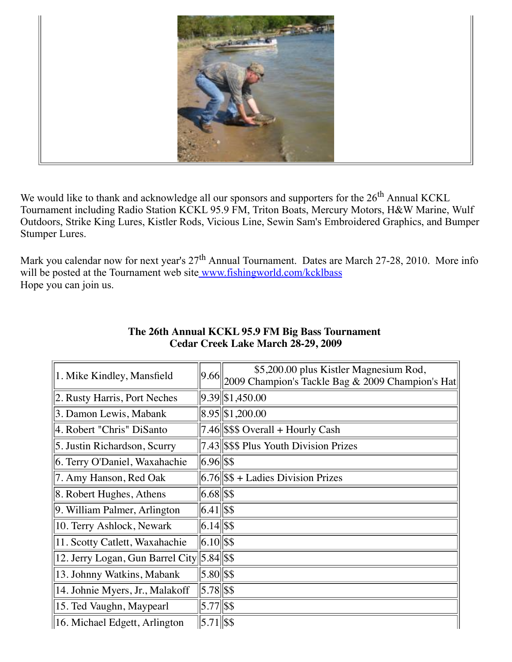

We would like to thank and acknowledge all our sponsors and supporters for the 26<sup>th</sup> Annual KCKL Tournament including Radio Station KCKL 95.9 FM, Triton Boats, Mercury Motors, H&W Marine, Wulf Outdoors, Strike King Lures, Kistler Rods, Vicious Line, Sewin Sam's Embroidered Graphics, and Bumper Stumper Lures.

Mark you calendar now for next year's  $27<sup>th</sup>$  Annual Tournament. Dates are March 27-28, 2010. More info will be posted at the Tournament web site www.fishingworld.com/kcklbass Hope you can join us.

|                                            |                   | \$5,200.00 plus Kistler Magnesium Rod,             |
|--------------------------------------------|-------------------|----------------------------------------------------|
| 1. Mike Kindley, Mansfield                 | 9.66              | 2009 Champion's Tackle Bag $&$ 2009 Champion's Hat |
| 2. Rusty Harris, Port Neches               |                   | $9.39$ \$1,450.00                                  |
| 3. Damon Lewis, Mabank                     |                   | $\ 8.95\ \$1,200.00\ $                             |
| 4. Robert "Chris" DiSanto                  |                   | $7.46$ \$\$\$ Overall + Hourly Cash                |
| 5. Justin Richardson, Scurry               |                   | 7.43 \$\$\$ Plus Youth Division Prizes             |
| 6. Terry O'Daniel, Waxahachie              | $6.96$ \\$\$      |                                                    |
| 7. Amy Hanson, Red Oak                     |                   | $ 6.76 $ \$\$ + Ladies Division Prizes             |
| 8. Robert Hughes, Athens                   | $ 6.68 $ \\$\$    |                                                    |
| 9. William Palmer, Arlington               | $6.41$ \$\$       |                                                    |
| 10. Terry Ashlock, Newark                  | $ 6.14 $ \$\$     |                                                    |
| 11. Scotty Catlett, Waxahachie             | $6.10$ \s\$       |                                                    |
| 12. Jerry Logan, Gun Barrel City 5.84 \$\$ |                   |                                                    |
| 13. Johnny Watkins, Mabank                 | $5.80$ $\sqrt{$}$ |                                                    |
| 14. Johnie Myers, Jr., Malakoff            | $5.78$ \stats     |                                                    |
| 15. Ted Vaughn, Maypearl                   | $5.77$ \$\$       |                                                    |
| 16. Michael Edgett, Arlington              | $5.71$ \$\\       |                                                    |

# **The 26th Annual KCKL 95.9 FM Big Bass Tournament Cedar Creek Lake March 28-29, 2009**